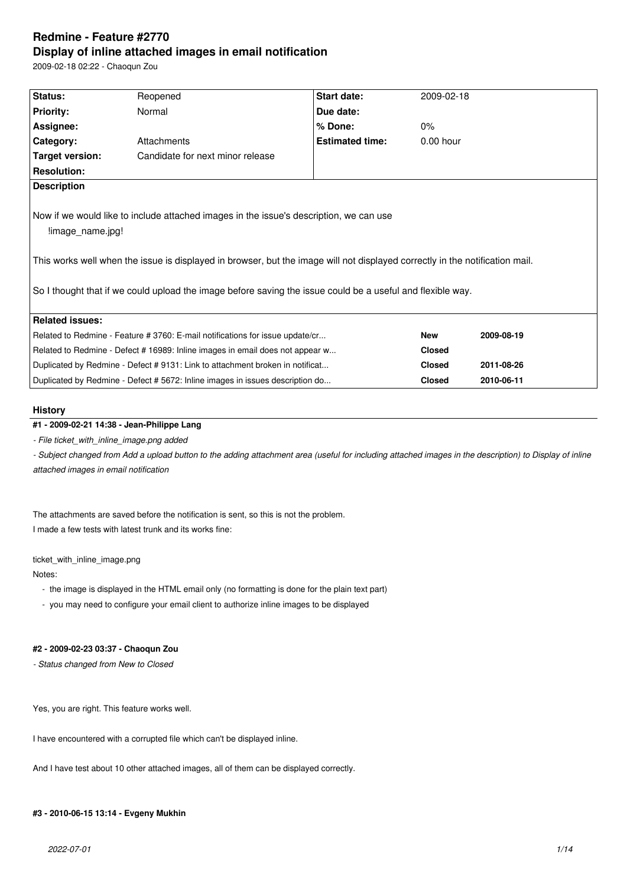# **Redmine - Feature #2770 Display of inline attached images in email notification**

2009-02-18 02:22 - Chaoqun Zou

| Status:                                                                                                                                                                                                                                                                                                                                                  | Reopened                         | Start date:            | 2009-02-18    |            |  |  |
|----------------------------------------------------------------------------------------------------------------------------------------------------------------------------------------------------------------------------------------------------------------------------------------------------------------------------------------------------------|----------------------------------|------------------------|---------------|------------|--|--|
| <b>Priority:</b>                                                                                                                                                                                                                                                                                                                                         | Normal                           | Due date:              |               |            |  |  |
| Assignee:                                                                                                                                                                                                                                                                                                                                                |                                  | % Done:                | 0%            |            |  |  |
| Category:                                                                                                                                                                                                                                                                                                                                                | Attachments                      | <b>Estimated time:</b> | $0.00$ hour   |            |  |  |
| Target version:                                                                                                                                                                                                                                                                                                                                          | Candidate for next minor release |                        |               |            |  |  |
| <b>Resolution:</b>                                                                                                                                                                                                                                                                                                                                       |                                  |                        |               |            |  |  |
| <b>Description</b>                                                                                                                                                                                                                                                                                                                                       |                                  |                        |               |            |  |  |
| Now if we would like to include attached images in the issue's description, we can use<br>limage name.jpg!<br>This works well when the issue is displayed in browser, but the image will not displayed correctly in the notification mail.<br>So I thought that if we could upload the image before saving the issue could be a useful and flexible way. |                                  |                        |               |            |  |  |
| <b>Related issues:</b>                                                                                                                                                                                                                                                                                                                                   |                                  |                        |               |            |  |  |
| Related to Redmine - Feature # 3760: E-mail notifications for issue update/cr                                                                                                                                                                                                                                                                            |                                  |                        | <b>New</b>    | 2009-08-19 |  |  |
| Related to Redmine - Defect # 16989: Inline images in email does not appear w                                                                                                                                                                                                                                                                            |                                  |                        | <b>Closed</b> |            |  |  |
| Duplicated by Redmine - Defect #9131: Link to attachment broken in notificat                                                                                                                                                                                                                                                                             |                                  |                        | <b>Closed</b> | 2011-08-26 |  |  |
| Duplicated by Redmine - Defect # 5672: Inline images in issues description do                                                                                                                                                                                                                                                                            |                                  |                        | <b>Closed</b> | 2010-06-11 |  |  |
|                                                                                                                                                                                                                                                                                                                                                          |                                  |                        |               |            |  |  |

### **History**

# **#1 - 2009-02-21 14:38 - Jean-Philippe Lang**

*- File ticket\_with\_inline\_image.png added*

- Subject changed from Add a upload button to the adding attachment area (useful for including attached images in the description) to Display of inline *attached images in email notification*

The attachments are saved before the notification is sent, so this is not the problem. I made a few tests with latest trunk and its works fine:

ticket\_with\_inline\_image.png

Notes:

- the image is displayed in the HTML email only (no formatting is done for the plain text part)
- you may need to configure your email client to authorize inline images to be displayed

# **#2 - 2009-02-23 03:37 - Chaoqun Zou**

*- Status changed from New to Closed*

Yes, you are right. This feature works well.

I have encountered with a corrupted file which can't be displayed inline.

And I have test about 10 other attached images, all of them can be displayed correctly.

### **#3 - 2010-06-15 13:14 - Evgeny Mukhin**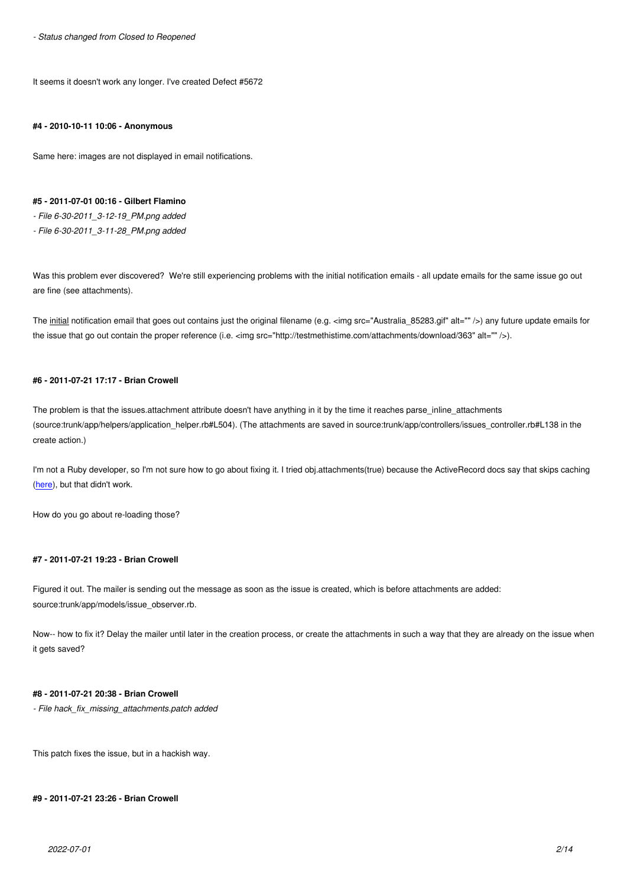It seems it doesn't work any longer. I've created Defect #5672

#### **#4 - 2010-10-11 10:06 - Anonymous**

Same here: images are not displayed in email notifications.

### **#5 - 2011-07-01 00:16 - Gilbert Flamino**

*- File 6-30-2011\_3-12-19\_PM.png added*

*- File 6-30-2011\_3-11-28\_PM.png added*

Was this problem ever discovered? We're still experiencing problems with the initial notification emails - all update emails for the same issue go out are fine (see attachments).

The initial notification email that goes out contains just the original filename (e.g. <img src="Australia\_85283.gif" alt="" />) any future update emails for the issue that go out contain the proper reference (i.e. <img src="http://testmethistime.com/attachments/download/363" alt="" />).

#### **#6 - 2011-07-21 17:17 - Brian Crowell**

The problem is that the issues.attachment attribute doesn't have anything in it by the time it reaches parse\_inline\_attachments (source:trunk/app/helpers/application\_helper.rb#L504). (The attachments are saved in source:trunk/app/controllers/issues\_controller.rb#L138 in the create action.)

I'm not a Ruby developer, so I'm not sure how to go about fixing it. I tried obj.attachments(true) because the ActiveRecord docs say that skips caching (here), but that didn't work.

How do you go about re-loading those?

### **#7 - 2011-07-21 19:23 - Brian Crowell**

Figured it out. The mailer is sending out the message as soon as the issue is created, which is before attachments are added: source:trunk/app/models/issue\_observer.rb.

Now-- how to fix it? Delay the mailer until later in the creation process, or create the attachments in such a way that they are already on the issue when it gets saved?

### **#8 - 2011-07-21 20:38 - Brian Crowell**

*- File hack\_fix\_missing\_attachments.patch added*

This patch fixes the issue, but in a hackish way.

#### **#9 - 2011-07-21 23:26 - Brian Crowell**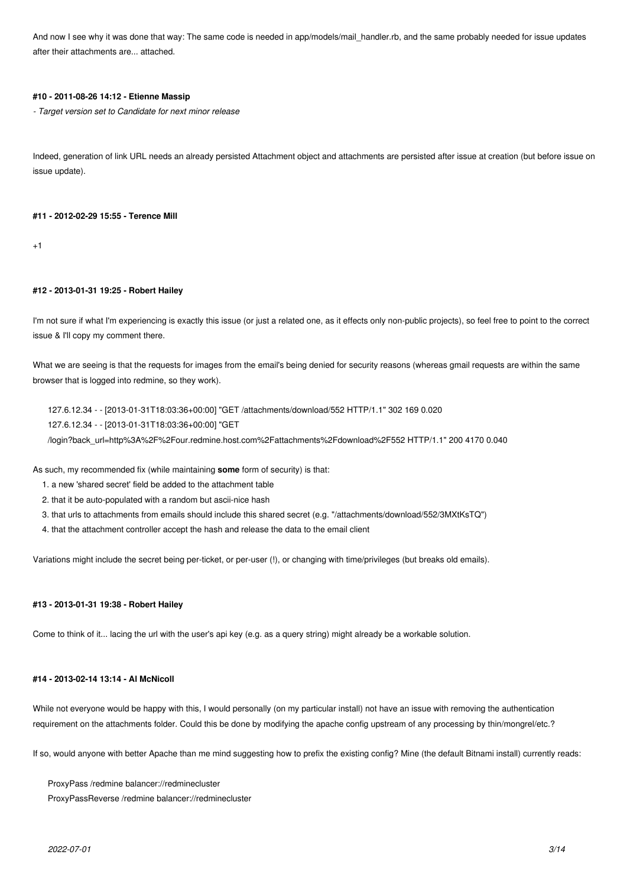And now I see why it was done that way: The same code is needed in app/models/mail handler.rb, and the same probably needed for issue updates after their attachments are... attached.

### **#10 - 2011-08-26 14:12 - Etienne Massip**

*- Target version set to Candidate for next minor release*

Indeed, generation of link URL needs an already persisted Attachment object and attachments are persisted after issue at creation (but before issue on issue update).

#### **#11 - 2012-02-29 15:55 - Terence Mill**

 $+1$ 

#### **#12 - 2013-01-31 19:25 - Robert Hailey**

I'm not sure if what I'm experiencing is exactly this issue (or just a related one, as it effects only non-public projects), so feel free to point to the correct issue & I'll copy my comment there.

What we are seeing is that the requests for images from the email's being denied for security reasons (whereas gmail requests are within the same browser that is logged into redmine, so they work).

127.6.12.34 - - [2013-01-31T18:03:36+00:00] "GET /attachments/download/552 HTTP/1.1" 302 169 0.020 127.6.12.34 - - [2013-01-31T18:03:36+00:00] "GET

/login?back\_url=http%3A%2F%2Four.redmine.host.com%2Fattachments%2Fdownload%2F552 HTTP/1.1" 200 4170 0.040

As such, my recommended fix (while maintaining **some** form of security) is that:

- 1. a new 'shared secret' field be added to the attachment table
- 2. that it be auto-populated with a random but ascii-nice hash
- 3. that urls to attachments from emails should include this shared secret (e.g. "/attachments/download/552/3MXtKsTQ")
- 4. that the attachment controller accept the hash and release the data to the email client

Variations might include the secret being per-ticket, or per-user (!), or changing with time/privileges (but breaks old emails).

### **#13 - 2013-01-31 19:38 - Robert Hailey**

Come to think of it... lacing the url with the user's api key (e.g. as a query string) might already be a workable solution.

### **#14 - 2013-02-14 13:14 - Al McNicoll**

While not everyone would be happy with this, I would personally (on my particular install) not have an issue with removing the authentication requirement on the attachments folder. Could this be done by modifying the apache config upstream of any processing by thin/mongrel/etc.?

If so, would anyone with better Apache than me mind suggesting how to prefix the existing config? Mine (the default Bitnami install) currently reads:

ProxyPass /redmine balancer://redminecluster

ProxyPassReverse /redmine balancer://redminecluster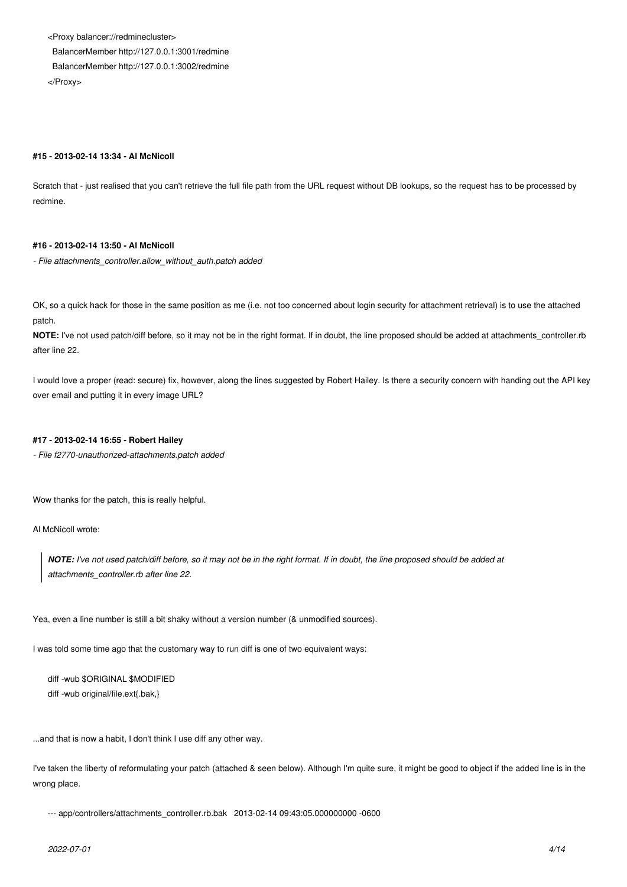<Proxy balancer://redminecluster> BalancerMember http://127.0.0.1:3001/redmine BalancerMember http://127.0.0.1:3002/redmine </Proxy>

### **#15 - 2013-02-14 13:34 - Al McNicoll**

Scratch that - just realised that you can't retrieve the full file path from the URL request without DB lookups, so the request has to be processed by redmine.

### **#16 - 2013-02-14 13:50 - Al McNicoll**

*- File attachments\_controller.allow\_without\_auth.patch added*

OK, so a quick hack for those in the same position as me (i.e. not too concerned about login security for attachment retrieval) is to use the attached patch.

**NOTE:** I've not used patch/diff before, so it may not be in the right format. If in doubt, the line proposed should be added at attachments\_controller.rb after line 22.

I would love a proper (read: secure) fix, however, along the lines suggested by Robert Hailey. Is there a security concern with handing out the API key over email and putting it in every image URL?

### **#17 - 2013-02-14 16:55 - Robert Hailey**

*- File f2770-unauthorized-attachments.patch added*

Wow thanks for the patch, this is really helpful.

Al McNicoll wrote:

*NOTE: I've not used patch/diff before, so it may not be in the right format. If in doubt, the line proposed should be added at attachments\_controller.rb after line 22.*

Yea, even a line number is still a bit shaky without a version number (& unmodified sources).

I was told some time ago that the customary way to run diff is one of two equivalent ways:

diff -wub \$ORIGINAL \$MODIFIED diff -wub original/file.ext{.bak,}

...and that is now a habit, I don't think I use diff any other way.

I've taken the liberty of reformulating your patch (attached & seen below). Although I'm quite sure, it might be good to object if the added line is in the wrong place.

--- app/controllers/attachments\_controller.rb.bak 2013-02-14 09:43:05.000000000 -0600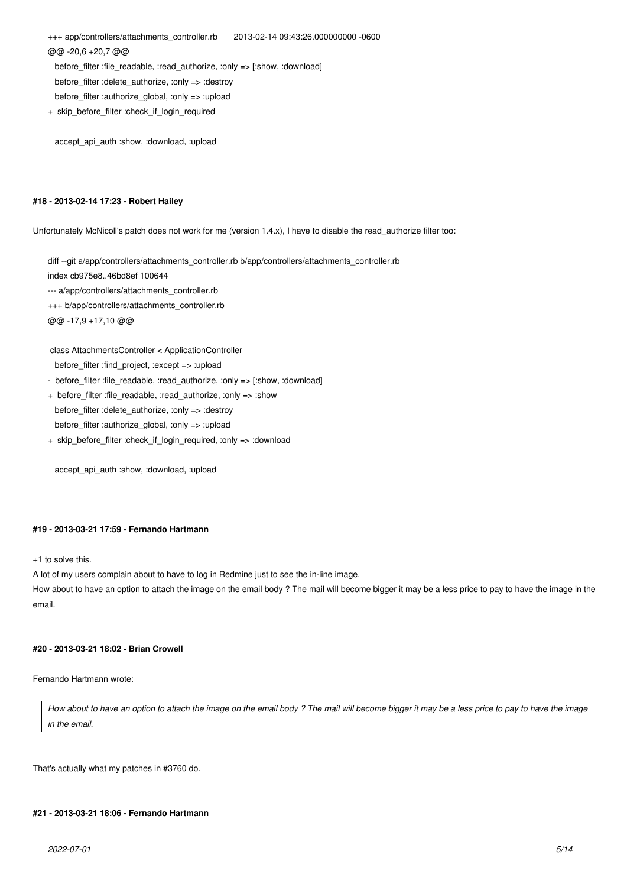+++ app/controllers/attachments\_controller.rb 2013-02-14 09:43:26.000000000 -0600 @@ -20,6 +20,7 @@ before filter :file readable, :read authorize, :only => [:show, :download] before\_filter :delete\_authorize, :only => :destroy

before\_filter :authorize\_global, :only => :upload

+ skip\_before\_filter :check\_if\_login\_required

accept\_api\_auth :show, :download, :upload

### **#18 - 2013-02-14 17:23 - Robert Hailey**

Unfortunately McNicoll's patch does not work for me (version 1.4.x), I have to disable the read\_authorize filter too:

diff --git a/app/controllers/attachments\_controller.rb b/app/controllers/attachments\_controller.rb

index cb975e8..46bd8ef 100644

--- a/app/controllers/attachments\_controller.rb

+++ b/app/controllers/attachments\_controller.rb

@@ -17,9 +17,10 @@

class AttachmentsController < ApplicationController

before filter :find project, :except => :upload

- before filter :file readable, :read authorize, :only => [:show, :download]
- + before\_filter :file\_readable, :read\_authorize, :only => :show before\_filter :delete\_authorize, :only => :destroy before\_filter :authorize\_global, :only => :upload
- + skip\_before\_filter :check\_if\_login\_required, :only => :download

accept api\_auth :show, :download, :upload

### **#19 - 2013-03-21 17:59 - Fernando Hartmann**

+1 to solve this.

A lot of my users complain about to have to log in Redmine just to see the in-line image.

How about to have an option to attach the image on the email body ? The mail will become bigger it may be a less price to pay to have the image in the email.

### **#20 - 2013-03-21 18:02 - Brian Crowell**

Fernando Hartmann wrote:

*How about to have an option to attach the image on the email body ? The mail will become bigger it may be a less price to pay to have the image in the email.*

That's actually what my patches in #3760 do.

### **#21 - 2013-03-21 18:06 - Fernando Hartmann**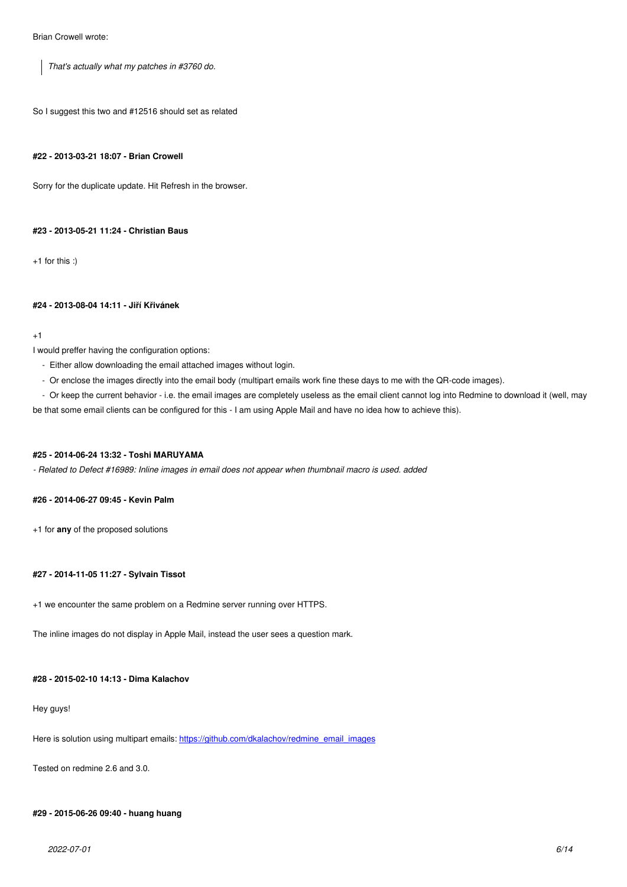*That's actually what my patches in #3760 do.*

So I suggest this two and #12516 should set as related

### **#22 - 2013-03-21 18:07 - Brian Crowell**

Sorry for the duplicate update. Hit Refresh in the browser.

#### **#23 - 2013-05-21 11:24 - Christian Baus**

+1 for this :)

#### **#24 - 2013-08-04 14:11 - Jiří Křivánek**

#### +1

I would preffer having the configuration options:

- Either allow downloading the email attached images without login.
- Or enclose the images directly into the email body (multipart emails work fine these days to me with the QR-code images).
- Or keep the current behavior i.e. the email images are completely useless as the email client cannot log into Redmine to download it (well, may

be that some email clients can be configured for this - I am using Apple Mail and have no idea how to achieve this).

### **#25 - 2014-06-24 13:32 - Toshi MARUYAMA**

*- Related to Defect #16989: Inline images in email does not appear when thumbnail macro is used. added*

### **#26 - 2014-06-27 09:45 - Kevin Palm**

+1 for **any** of the proposed solutions

### **#27 - 2014-11-05 11:27 - Sylvain Tissot**

+1 we encounter the same problem on a Redmine server running over HTTPS.

The inline images do not display in Apple Mail, instead the user sees a question mark.

### **#28 - 2015-02-10 14:13 - Dima Kalachov**

#### Hey guys!

Here is solution using multipart emails: https://github.com/dkalachov/redmine\_email\_images

Tested on redmine 2.6 and 3.0.

#### **#29 - 2015-06-26 09:40 - huang huang**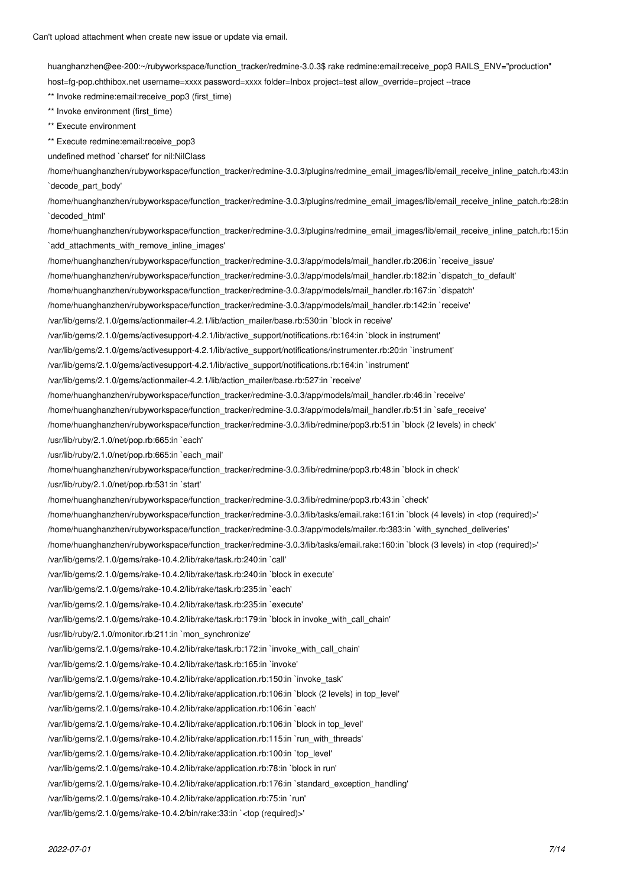huanghanzhen@ee-200:~/rubyworkspace/function\_tracker/redmine-3.0.3\$ rake redmine:email:receive\_pop3 RAILS\_ENV="production" host=fg-pop.chthibox.net username=xxxx password=xxxx folder=Inbox project=test allow\_override=project --trace \*\* Invoke redmine:email:receive\_pop3 (first\_time) \*\* Invoke environment (first\_time) \*\* Execute environment \*\* Execute redmine: email: receive pop3 undefined method `charset' for nil:NilClass /home/huanghanzhen/rubyworkspace/function\_tracker/redmine-3.0.3/plugins/redmine\_email\_images/lib/email\_receive\_inline\_patch.rb:43:in `decode\_part\_body' /home/huanghanzhen/rubyworkspace/function\_tracker/redmine-3.0.3/plugins/redmine\_email\_images/lib/email\_receive\_inline\_patch.rb:28:in `decoded\_html' /home/huanghanzhen/rubyworkspace/function\_tracker/redmine-3.0.3/plugins/redmine\_email\_images/lib/email\_receive\_inline\_patch.rb:15:in `add\_attachments\_with\_remove\_inline\_images' /home/huanghanzhen/rubyworkspace/function\_tracker/redmine-3.0.3/app/models/mail\_handler.rb:206:in `receive\_issue' /home/huanghanzhen/rubyworkspace/function\_tracker/redmine-3.0.3/app/models/mail\_handler.rb:182:in `dispatch\_to\_default' /home/huanghanzhen/rubyworkspace/function\_tracker/redmine-3.0.3/app/models/mail\_handler.rb:167:in `dispatch' /home/huanghanzhen/rubyworkspace/function\_tracker/redmine-3.0.3/app/models/mail\_handler.rb:142:in `receive' /var/lib/gems/2.1.0/gems/actionmailer-4.2.1/lib/action\_mailer/base.rb:530:in `block in receive' /var/lib/gems/2.1.0/gems/activesupport-4.2.1/lib/active\_support/notifications.rb:164:in `block in instrument' /var/lib/gems/2.1.0/gems/activesupport-4.2.1/lib/active\_support/notifications/instrumenter.rb:20:in `instrument' /var/lib/gems/2.1.0/gems/activesupport-4.2.1/lib/active\_support/notifications.rb:164:in `instrument' /var/lib/gems/2.1.0/gems/actionmailer-4.2.1/lib/action\_mailer/base.rb:527:in `receive' /home/huanghanzhen/rubyworkspace/function\_tracker/redmine-3.0.3/app/models/mail\_handler.rb:46:in `receive' /home/huanghanzhen/rubyworkspace/function\_tracker/redmine-3.0.3/app/models/mail\_handler.rb:51:in `safe\_receive' /home/huanghanzhen/rubyworkspace/function\_tracker/redmine-3.0.3/lib/redmine/pop3.rb:51:in `block (2 levels) in check' /usr/lib/ruby/2.1.0/net/pop.rb:665:in `each' /usr/lib/ruby/2.1.0/net/pop.rb:665:in `each\_mail' /home/huanghanzhen/rubyworkspace/function\_tracker/redmine-3.0.3/lib/redmine/pop3.rb:48:in `block in check' /usr/lib/ruby/2.1.0/net/pop.rb:531:in `start' /home/huanghanzhen/rubyworkspace/function\_tracker/redmine-3.0.3/lib/redmine/pop3.rb:43:in `check' /home/huanghanzhen/rubyworkspace/function\_tracker/redmine-3.0.3/lib/tasks/email.rake:161:in `block (4 levels) in <top (required)>' /home/huanghanzhen/rubyworkspace/function\_tracker/redmine-3.0.3/app/models/mailer.rb:383:in `with\_synched\_deliveries' /home/huanghanzhen/rubyworkspace/function\_tracker/redmine-3.0.3/lib/tasks/email.rake:160:in `block (3 levels) in <top (required)>' /var/lib/gems/2.1.0/gems/rake-10.4.2/lib/rake/task.rb:240:in `call' /var/lib/gems/2.1.0/gems/rake-10.4.2/lib/rake/task.rb:240:in `block in execute' /var/lib/gems/2.1.0/gems/rake-10.4.2/lib/rake/task.rb:235:in `each' /var/lib/gems/2.1.0/gems/rake-10.4.2/lib/rake/task.rb:235:in `execute' /var/lib/gems/2.1.0/gems/rake-10.4.2/lib/rake/task.rb:179:in `block in invoke\_with\_call\_chain' /usr/lib/ruby/2.1.0/monitor.rb:211:in `mon\_synchronize' /var/lib/gems/2.1.0/gems/rake-10.4.2/lib/rake/task.rb:172:in `invoke\_with\_call\_chain' /var/lib/gems/2.1.0/gems/rake-10.4.2/lib/rake/task.rb:165:in `invoke' /var/lib/gems/2.1.0/gems/rake-10.4.2/lib/rake/application.rb:150:in `invoke\_task' /var/lib/gems/2.1.0/gems/rake-10.4.2/lib/rake/application.rb:106:in `block (2 levels) in top\_level' /var/lib/gems/2.1.0/gems/rake-10.4.2/lib/rake/application.rb:106:in `each' /var/lib/gems/2.1.0/gems/rake-10.4.2/lib/rake/application.rb:106:in `block in top\_level' /var/lib/gems/2.1.0/gems/rake-10.4.2/lib/rake/application.rb:115:in `run\_with\_threads' /var/lib/gems/2.1.0/gems/rake-10.4.2/lib/rake/application.rb:100:in `top\_level' /var/lib/gems/2.1.0/gems/rake-10.4.2/lib/rake/application.rb:78:in `block in run' /var/lib/gems/2.1.0/gems/rake-10.4.2/lib/rake/application.rb:176:in `standard\_exception\_handling'

/var/lib/gems/2.1.0/gems/rake-10.4.2/lib/rake/application.rb:75:in `run'

/var/lib/gems/2.1.0/gems/rake-10.4.2/bin/rake:33:in `<top (required)>'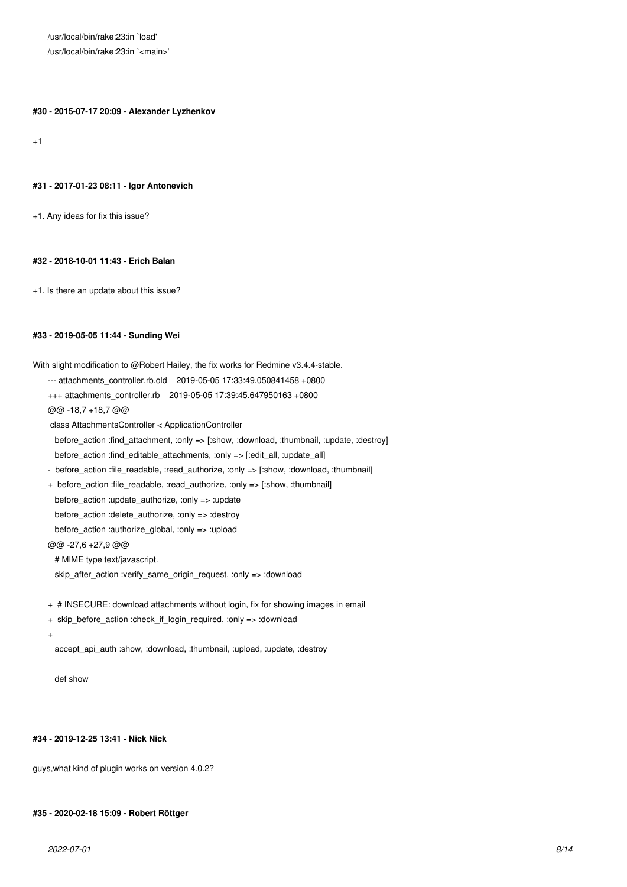/usr/local/bin/rake:23:in `load' /usr/local/bin/rake:23:in `<main>'

**#30 - 2015-07-17 20:09 - Alexander Lyzhenkov**

 $+1$ 

#### **#31 - 2017-01-23 08:11 - Igor Antonevich**

+1. Any ideas for fix this issue?

### **#32 - 2018-10-01 11:43 - Erich Balan**

+1. Is there an update about this issue?

#### **#33 - 2019-05-05 11:44 - Sunding Wei**

With slight modification to @Robert Hailey, the fix works for Redmine v3.4.4-stable.

- --- attachments\_controller.rb.old 2019-05-05 17:33:49.050841458 +0800
- +++ attachments\_controller.rb 2019-05-05 17:39:45.647950163 +0800

@@ -18,7 +18,7 @@

class AttachmentsController < ApplicationController

 before\_action :find\_attachment, :only => [:show, :download, :thumbnail, :update, :destroy] before\_action :find\_editable\_attachments, :only => [:edit\_all, :update\_all]

- before action :file readable, :read authorize, :only => [:show, :download, :thumbnail]
- + before action :file readable, :read authorize, :only => [:show, :thumbnail] before\_action :update\_authorize, :only => :update before\_action :delete\_authorize, :only => :destroy before action :authorize global, :only => :upload @@ -27,6 +27,9 @@

# MIME type text/javascript.

skip\_after\_action :verify\_same\_origin\_request, :only => :download

- + # INSECURE: download attachments without login, fix for showing images in email
- + skip\_before\_action :check\_if\_login\_required, :only => :download
- +

accept\_api\_auth :show, :download, :thumbnail, :upload, :update, :destroy

def show

#### **#34 - 2019-12-25 13:41 - Nick Nick**

guys,what kind of plugin works on version 4.0.2?

### **#35 - 2020-02-18 15:09 - Robert Röttger**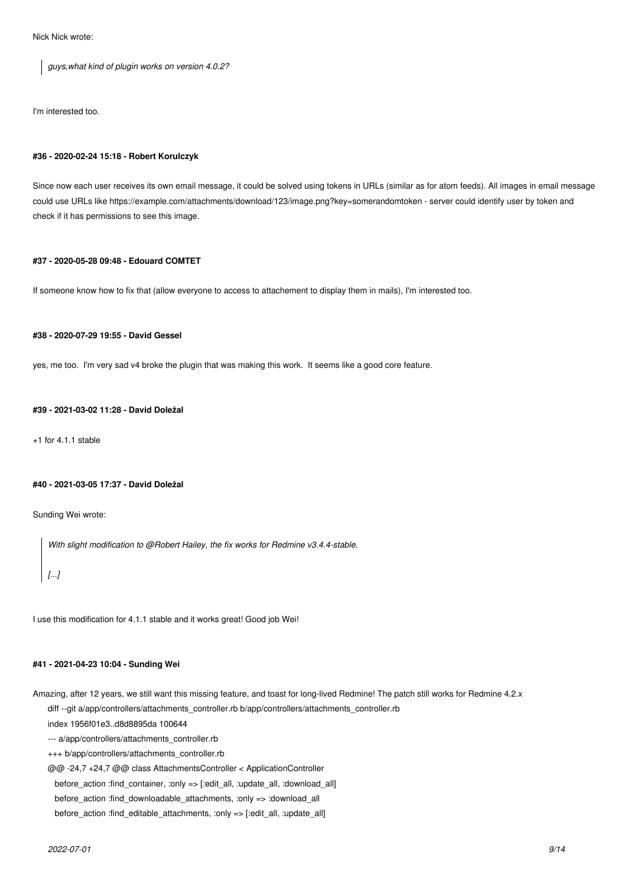Nick Nick wrote:

*guys,what kind of plugin works on version 4.0.2?*

I'm interested too.

#### **#36 - 2020-02-24 15:18 - Robert Korulczyk**

Since now each user receives its own email message, it could be solved using tokens in URLs (similar as for atom feeds). All images in email message could use URLs like https://example.com/attachments/download/123/image.png?key=somerandomtoken - server could identify user by token and check if it has permissions to see this image.

### **#37 - 2020-05-28 09:48 - Edouard COMTET**

If someone know how to fix that (allow everyone to access to attachement to display them in mails), I'm interested too.

### **#38 - 2020-07-29 19:55 - David Gessel**

yes, me too. I'm very sad v4 broke the plugin that was making this work. It seems like a good core feature.

### **#39 - 2021-03-02 11:28 - David Doležal**

+1 for 4.1.1 stable

### **#40 - 2021-03-05 17:37 - David Doležal**

Sunding Wei wrote:

*With slight modification to @Robert Hailey, the fix works for Redmine v3.4.4-stable.*

# *[...]*

I use this modification for 4.1.1 stable and it works great! Good job Wei!

### **#41 - 2021-04-23 10:04 - Sunding Wei**

Amazing, after 12 years, we still want this missing feature, and toast for long-lived Redmine! The patch still works for Redmine 4.2.x diff --git a/app/controllers/attachments\_controller.rb b/app/controllers/attachments\_controller.rb

index 1956f01e3..d8d8895da 100644

--- a/app/controllers/attachments\_controller.rb

+++ b/app/controllers/attachments\_controller.rb

@@ -24,7 +24,7 @@ class AttachmentsController < ApplicationController

before\_action :find\_container, :only => [:edit\_all, :update\_all, :download\_all]

before\_action :find\_downloadable\_attachments, :only => :download\_all

before\_action :find\_editable\_attachments, :only => [:edit\_all, :update\_all]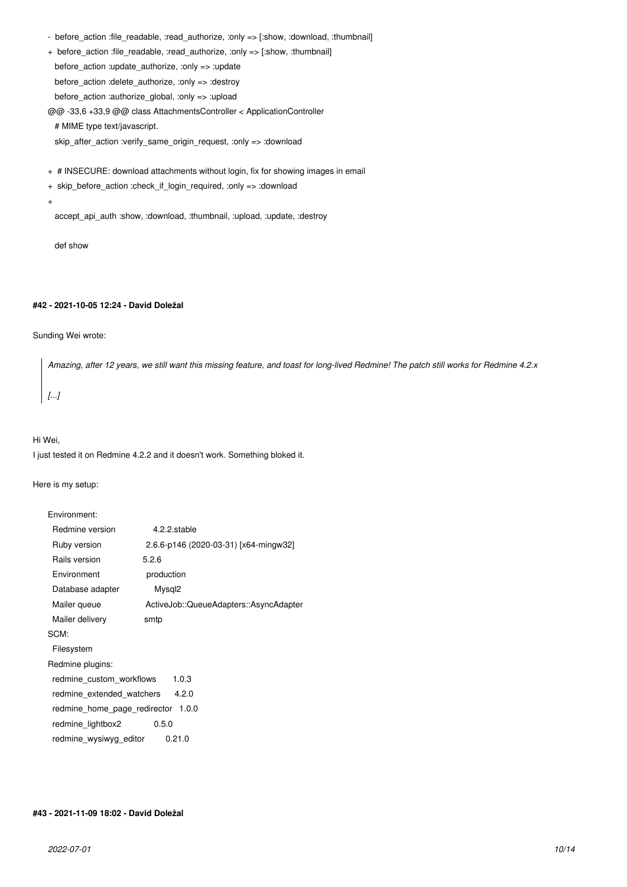- before\_action :file\_readable, :read\_authorize, :only => [:show, :download, :thumbnail]
- + before\_action :file\_readable, :read\_authorize, :only => [:show, :thumbnail]

before  $action$  :update  $authorize$ , :only => :update

before\_action :delete\_authorize, :only => :destroy

before\_action :authorize\_global, :only => :upload

@@ -33,6 +33,9 @@ class AttachmentsController < ApplicationController

# MIME type text/javascript.

skip\_after\_action :verify\_same\_origin\_request, :only => :download

- + # INSECURE: download attachments without login, fix for showing images in email
- + skip\_before\_action :check\_if\_login\_required, :only => :download
- +

accept api\_auth :show, :download, :thumbnail, :upload, :update, :destroy

def show

### **#42 - 2021-10-05 12:24 - David Doležal**

### Sunding Wei wrote:

*Amazing, after 12 years, we still want this missing feature, and toast for long-lived Redmine! The patch still works for Redmine 4.2.x [...]*

#### Hi Wei,

I just tested it on Redmine 4.2.2 and it doesn't work. Something bloked it.

Here is my setup:

| Environment:                          |                                        |  |  |  |  |
|---------------------------------------|----------------------------------------|--|--|--|--|
| Redmine version                       | 4.2.2.stable                           |  |  |  |  |
| Ruby version                          | 2.6.6-p146 (2020-03-31) [x64-mingw32]  |  |  |  |  |
| Rails version                         | 5.2.6                                  |  |  |  |  |
| Environment                           | production                             |  |  |  |  |
| Database adapter                      | Mysql <sub>2</sub>                     |  |  |  |  |
| Mailer queue                          | ActiveJob::QueueAdapters::AsyncAdapter |  |  |  |  |
| Mailer delivery                       | smtp                                   |  |  |  |  |
| SCM:                                  |                                        |  |  |  |  |
| Filesystem                            |                                        |  |  |  |  |
| Redmine plugins:                      |                                        |  |  |  |  |
| redmine custom workflows<br>1.0.3     |                                        |  |  |  |  |
| redmine_extended_watchers<br>4.2.0    |                                        |  |  |  |  |
| 1.0.0<br>redmine home page redirector |                                        |  |  |  |  |
| redmine lightbox2<br>0.5.0            |                                        |  |  |  |  |
| redmine wysiwyg editor                | 0.21.0                                 |  |  |  |  |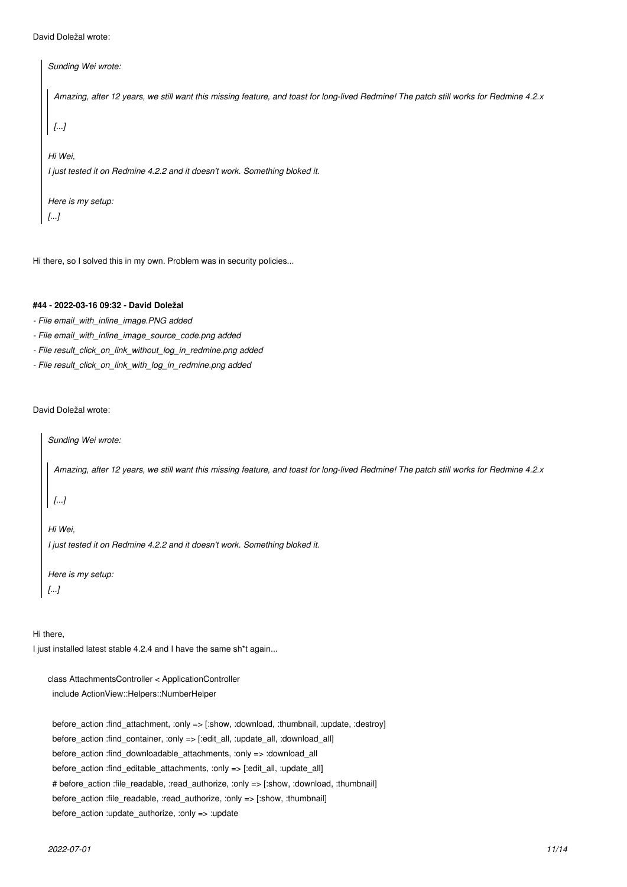```
David Doležal wrote:
```

```
Sunding Wei wrote:
 Amazing, after 12 years, we still want this missing feature, and toast for long-lived Redmine! The patch still works for Redmine 4.2.x
 [...]
Hi Wei,
I just tested it on Redmine 4.2.2 and it doesn't work. Something bloked it.
Here is my setup:
[...]
```
Hi there, so I solved this in my own. Problem was in security policies...

# **#44 - 2022-03-16 09:32 - David Doležal**

- *File email\_with\_inline\_image.PNG added*
- *File email\_with\_inline\_image\_source\_code.png added*
- *File result\_click\_on\_link\_without\_log\_in\_redmine.png added*
- *File result\_click\_on\_link\_with\_log\_in\_redmine.png added*

David Doležal wrote:

*Sunding Wei wrote:*

*Amazing, after 12 years, we still want this missing feature, and toast for long-lived Redmine! The patch still works for Redmine 4.2.x*

*[...]*

*Hi Wei, I just tested it on Redmine 4.2.2 and it doesn't work. Something bloked it.*

*Here is my setup: [...]*

Hi there,

I just installed latest stable 4.2.4 and I have the same sh\*t again...

class AttachmentsController < ApplicationController include ActionView::Helpers::NumberHelper

 before\_action :find\_attachment, :only => [:show, :download, :thumbnail, :update, :destroy] before\_action :find\_container, :only => [:edit\_all, :update\_all, :download\_all] before\_action :find\_downloadable\_attachments, :only => :download\_all before action :find editable attachments, :only => [:edit\_all, :update\_all] # before\_action :file\_readable, :read\_authorize, :only => [:show, :download, :thumbnail] before\_action :file\_readable, :read\_authorize, :only => [:show, :thumbnail] before\_action :update\_authorize, :only => :update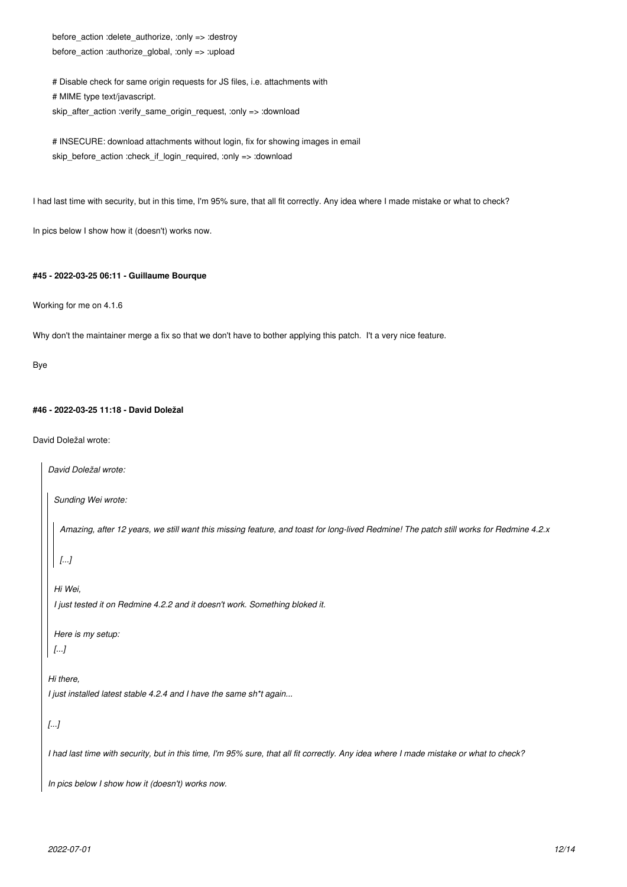before\_action :delete\_authorize, :only => :destroy before\_action :authorize\_global, :only => :upload

 # Disable check for same origin requests for JS files, i.e. attachments with # MIME type text/javascript. skip\_after\_action :verify\_same\_origin\_request, :only => :download

# INSECURE: download attachments without login, fix for showing images in email skip\_before\_action :check\_if\_login\_required, :only => :download

I had last time with security, but in this time, I'm 95% sure, that all fit correctly. Any idea where I made mistake or what to check?

In pics below I show how it (doesn't) works now.

### **#45 - 2022-03-25 06:11 - Guillaume Bourque**

Working for me on 4.1.6

Why don't the maintainer merge a fix so that we don't have to bother applying this patch. I't a very nice feature.

Bye

### **#46 - 2022-03-25 11:18 - David Doležal**

David Doležal wrote:

```
David Doležal wrote:
 Sunding Wei wrote:
   Amazing, after 12 years, we still want this missing feature, and toast for long-lived Redmine! The patch still works for Redmine 4.2.x
  [...]
 Hi Wei,
  I just tested it on Redmine 4.2.2 and it doesn't work. Something bloked it.
 Here is my setup:
 [...]
Hi there,
I just installed latest stable 4.2.4 and I have the same sh*t again...
[...]
I had last time with security, but in this time, I'm 95% sure, that all fit correctly. Any idea where I made mistake or what to check?
In pics below I show how it (doesn't) works now.
```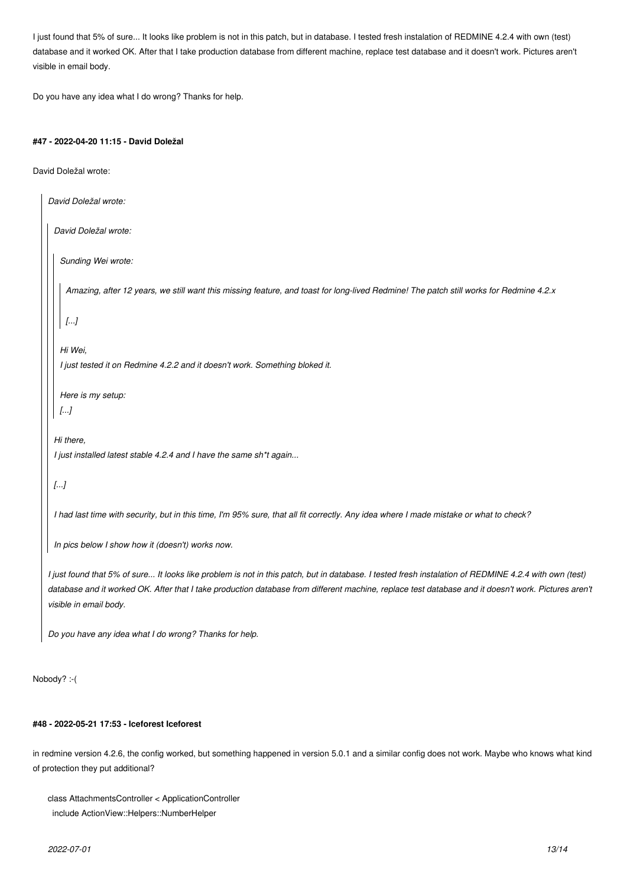I just found that 5% of sure... It looks like problem is not in this patch, but in database. I tested fresh instalation of REDMINE 4.2.4 with own (test) database and it worked OK. After that I take production database from different machine, replace test database and it doesn't work. Pictures aren't visible in email body.

Do you have any idea what I do wrong? Thanks for help.

### **#47 - 2022-04-20 11:15 - David Doležal**

David Doležal wrote:

```
David Doležal wrote:
 David Doležal wrote:
   Sunding Wei wrote:
    Amazing, after 12 years, we still want this missing feature, and toast for long-lived Redmine! The patch still works for Redmine 4.2.x
    [...]
   Hi Wei,
   I just tested it on Redmine 4.2.2 and it doesn't work. Something bloked it.
   Here is my setup:
  [...]
 Hi there,
 I just installed latest stable 4.2.4 and I have the same sh*t again...
 [...]
 I had last time with security, but in this time, I'm 95% sure, that all fit correctly. Any idea where I made mistake or what to check?
 In pics below I show how it (doesn't) works now.
I just found that 5% of sure... It looks like problem is not in this patch, but in database. I tested fresh instalation of REDMINE 4.2.4 with own (test)
```
*database and it worked OK. After that I take production database from different machine, replace test database and it doesn't work. Pictures aren't visible in email body.*

*Do you have any idea what I do wrong? Thanks for help.*

Nobody? :-(

### **#48 - 2022-05-21 17:53 - Iceforest Iceforest**

in redmine version 4.2.6, the config worked, but something happened in version 5.0.1 and a similar config does not work. Maybe who knows what kind of protection they put additional?

```
class AttachmentsController < ApplicationController
  include ActionView::Helpers::NumberHelper
```